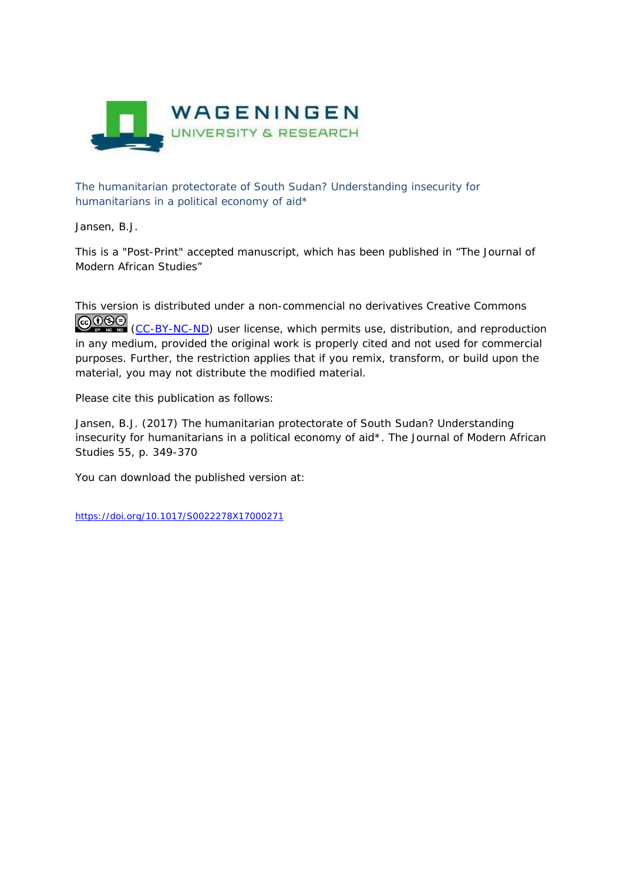

The humanitarian protectorate of South Sudan? Understanding insecurity for humanitarians in a political economy of aid\*

Jansen, B.J.

This is a "Post-Print" accepted manuscript, which has been published in "The Journal of Modern African Studies"

This version is distributed under a non-commencial no derivatives Creative Commons COOSE (CC-BY-NC-ND) user license, which permits use, distribution, and reproduction in any medium, provided the original work is properly cited and not used for commercial purposes. Further, the restriction applies that if you remix, transform, or build upon the material, you may not distribute the modified material.

Please cite this publication as follows:

Jansen, B.J. (2017) The humanitarian protectorate of South Sudan? Understanding insecurity for humanitarians in a political economy of aid\*. The Journal of Modern African Studies 55, p. 349-370

You can download the published version at:

https://doi.org/10.1017/S0022278X17000271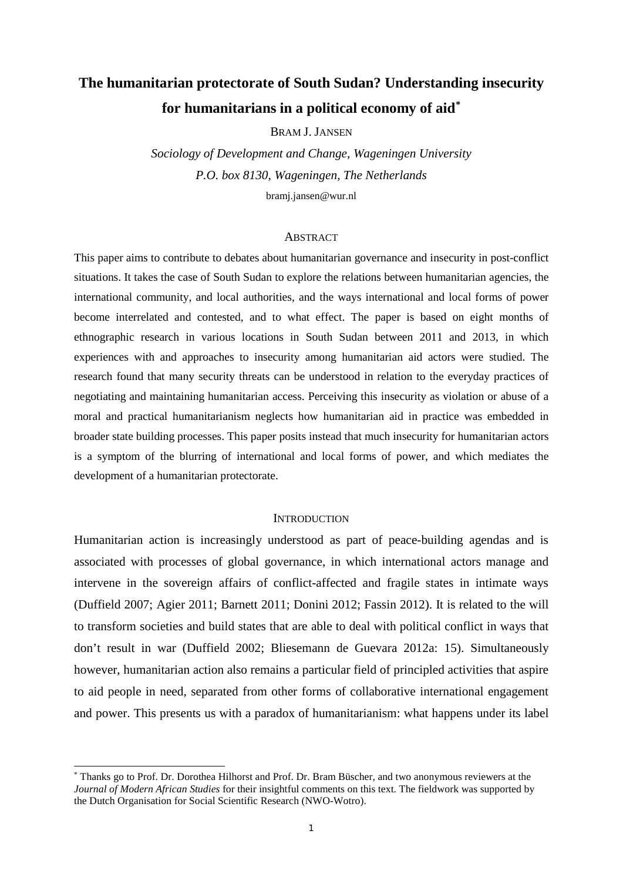# **The humanitarian protectorate of South Sudan? Understanding insecurity for humanitarians in a political economy of aid[\\*](#page-1-0)**

BRAM J. JANSEN

*Sociology of Development and Change, Wageningen University P.O. box 8130, Wageningen, The Netherlands*  bramj.jansen@wur.nl

#### **ABSTRACT**

This paper aims to contribute to debates about humanitarian governance and insecurity in post-conflict situations. It takes the case of South Sudan to explore the relations between humanitarian agencies, the international community, and local authorities, and the ways international and local forms of power become interrelated and contested, and to what effect. The paper is based on eight months of ethnographic research in various locations in South Sudan between 2011 and 2013, in which experiences with and approaches to insecurity among humanitarian aid actors were studied. The research found that many security threats can be understood in relation to the everyday practices of negotiating and maintaining humanitarian access. Perceiving this insecurity as violation or abuse of a moral and practical humanitarianism neglects how humanitarian aid in practice was embedded in broader state building processes. This paper posits instead that much insecurity for humanitarian actors is a symptom of the blurring of international and local forms of power, and which mediates the development of a humanitarian protectorate.

## **INTRODUCTION**

Humanitarian action is increasingly understood as part of peace-building agendas and is associated with processes of global governance, in which international actors manage and intervene in the sovereign affairs of conflict-affected and fragile states in intimate ways (Duffield 2007; Agier 2011; Barnett 2011; Donini 2012; Fassin 2012). It is related to the will to transform societies and build states that are able to deal with political conflict in ways that don't result in war (Duffield 2002; Bliesemann de Guevara 2012a: 15). Simultaneously however, humanitarian action also remains a particular field of principled activities that aspire to aid people in need, separated from other forms of collaborative international engagement and power. This presents us with a paradox of humanitarianism: what happens under its label

1

<span id="page-1-0"></span><sup>\*</sup> Thanks go to Prof. Dr. Dorothea Hilhorst and Prof. Dr. Bram Büscher, and two anonymous reviewers at the *Journal of Modern African Studies* for their insightful comments on this text. The fieldwork was supported by the Dutch Organisation for Social Scientific Research (NWO-Wotro).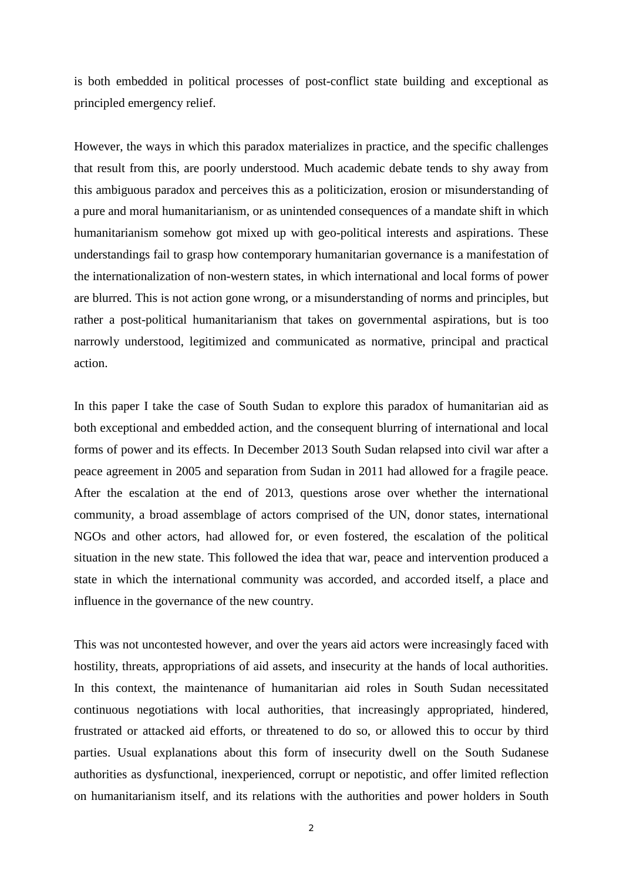is both embedded in political processes of post-conflict state building and exceptional as principled emergency relief.

However, the ways in which this paradox materializes in practice, and the specific challenges that result from this, are poorly understood. Much academic debate tends to shy away from this ambiguous paradox and perceives this as a politicization, erosion or misunderstanding of a pure and moral humanitarianism, or as unintended consequences of a mandate shift in which humanitarianism somehow got mixed up with geo-political interests and aspirations. These understandings fail to grasp how contemporary humanitarian governance is a manifestation of the internationalization of non-western states, in which international and local forms of power are blurred. This is not action gone wrong, or a misunderstanding of norms and principles, but rather a post-political humanitarianism that takes on governmental aspirations, but is too narrowly understood, legitimized and communicated as normative, principal and practical action.

In this paper I take the case of South Sudan to explore this paradox of humanitarian aid as both exceptional and embedded action, and the consequent blurring of international and local forms of power and its effects. In December 2013 South Sudan relapsed into civil war after a peace agreement in 2005 and separation from Sudan in 2011 had allowed for a fragile peace. After the escalation at the end of 2013, questions arose over whether the international community, a broad assemblage of actors comprised of the UN, donor states, international NGOs and other actors, had allowed for, or even fostered, the escalation of the political situation in the new state. This followed the idea that war, peace and intervention produced a state in which the international community was accorded, and accorded itself, a place and influence in the governance of the new country.

This was not uncontested however, and over the years aid actors were increasingly faced with hostility, threats, appropriations of aid assets, and insecurity at the hands of local authorities. In this context, the maintenance of humanitarian aid roles in South Sudan necessitated continuous negotiations with local authorities, that increasingly appropriated, hindered, frustrated or attacked aid efforts, or threatened to do so, or allowed this to occur by third parties. Usual explanations about this form of insecurity dwell on the South Sudanese authorities as dysfunctional, inexperienced, corrupt or nepotistic, and offer limited reflection on humanitarianism itself, and its relations with the authorities and power holders in South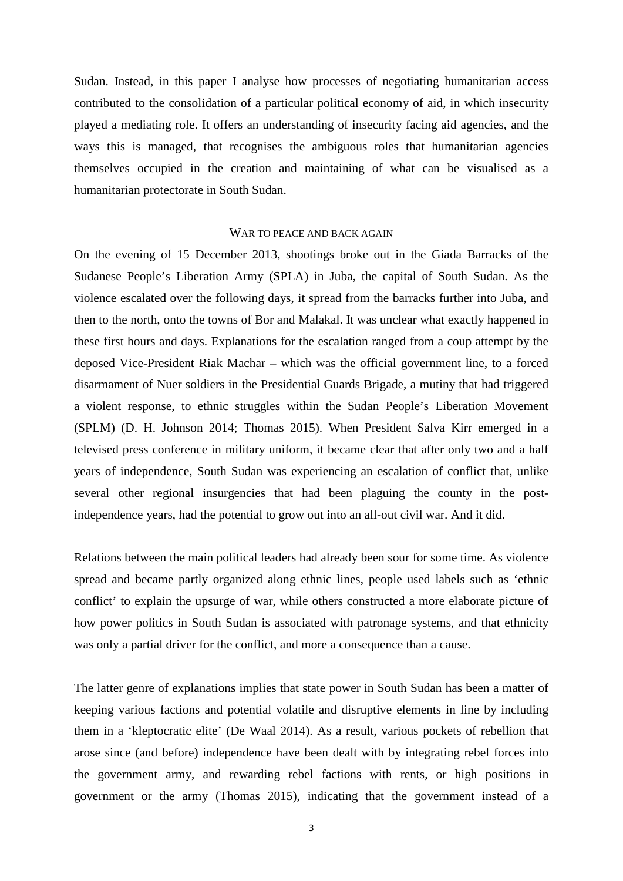Sudan. Instead, in this paper I analyse how processes of negotiating humanitarian access contributed to the consolidation of a particular political economy of aid, in which insecurity played a mediating role. It offers an understanding of insecurity facing aid agencies, and the ways this is managed, that recognises the ambiguous roles that humanitarian agencies themselves occupied in the creation and maintaining of what can be visualised as a humanitarian protectorate in South Sudan.

#### WAR TO PEACE AND BACK AGAIN

On the evening of 15 December 2013, shootings broke out in the Giada Barracks of the Sudanese People's Liberation Army (SPLA) in Juba, the capital of South Sudan. As the violence escalated over the following days, it spread from the barracks further into Juba, and then to the north, onto the towns of Bor and Malakal. It was unclear what exactly happened in these first hours and days. Explanations for the escalation ranged from a coup attempt by the deposed Vice-President Riak Machar – which was the official government line, to a forced disarmament of Nuer soldiers in the Presidential Guards Brigade, a mutiny that had triggered a violent response, to ethnic struggles within the Sudan People's Liberation Movement (SPLM) (D. H. Johnson 2014; Thomas 2015). When President Salva Kirr emerged in a televised press conference in military uniform, it became clear that after only two and a half years of independence, South Sudan was experiencing an escalation of conflict that, unlike several other regional insurgencies that had been plaguing the county in the postindependence years, had the potential to grow out into an all-out civil war. And it did.

Relations between the main political leaders had already been sour for some time. As violence spread and became partly organized along ethnic lines, people used labels such as 'ethnic conflict' to explain the upsurge of war, while others constructed a more elaborate picture of how power politics in South Sudan is associated with patronage systems, and that ethnicity was only a partial driver for the conflict, and more a consequence than a cause.

The latter genre of explanations implies that state power in South Sudan has been a matter of keeping various factions and potential volatile and disruptive elements in line by including them in a 'kleptocratic elite' (De Waal 2014). As a result, various pockets of rebellion that arose since (and before) independence have been dealt with by integrating rebel forces into the government army, and rewarding rebel factions with rents, or high positions in government or the army (Thomas 2015), indicating that the government instead of a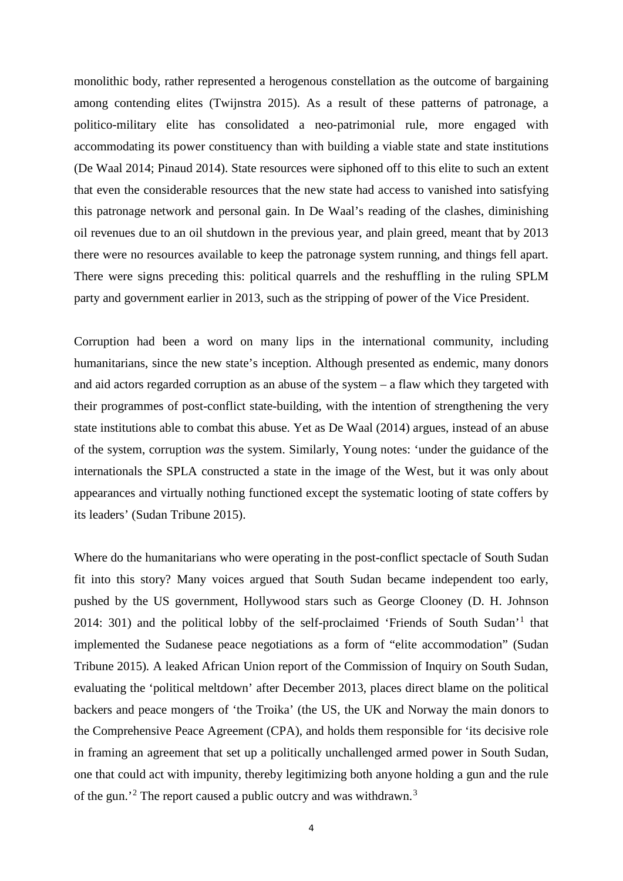monolithic body, rather represented a herogenous constellation as the outcome of bargaining among contending elites (Twijnstra 2015). As a result of these patterns of patronage, a politico-military elite has consolidated a neo-patrimonial rule, more engaged with accommodating its power constituency than with building a viable state and state institutions (De Waal 2014; Pinaud 2014). State resources were siphoned off to this elite to such an extent that even the considerable resources that the new state had access to vanished into satisfying this patronage network and personal gain. In De Waal's reading of the clashes, diminishing oil revenues due to an oil shutdown in the previous year, and plain greed, meant that by 2013 there were no resources available to keep the patronage system running, and things fell apart. There were signs preceding this: political quarrels and the reshuffling in the ruling SPLM party and government earlier in 2013, such as the stripping of power of the Vice President.

Corruption had been a word on many lips in the international community, including humanitarians, since the new state's inception. Although presented as endemic, many donors and aid actors regarded corruption as an abuse of the system – a flaw which they targeted with their programmes of post-conflict state-building, with the intention of strengthening the very state institutions able to combat this abuse. Yet as De Waal (2014) argues, instead of an abuse of the system, corruption *was* the system. Similarly, Young notes: 'under the guidance of the internationals the SPLA constructed a state in the image of the West, but it was only about appearances and virtually nothing functioned except the systematic looting of state coffers by its leaders' (Sudan Tribune 2015).

Where do the humanitarians who were operating in the post-conflict spectacle of South Sudan fit into this story? Many voices argued that South Sudan became independent too early, pushed by the US government, Hollywood stars such as George Clooney (D. H. Johnson 2014: 301) and the political lobby of the self-proclaimed 'Friends of South Sudan'[1](#page-23-0) that implemented the Sudanese peace negotiations as a form of "elite accommodation" (Sudan Tribune 2015)*.* A leaked African Union report of the Commission of Inquiry on South Sudan, evaluating the 'political meltdown' after December 2013, places direct blame on the political backers and peace mongers of 'the Troika' (the US, the UK and Norway the main donors to the Comprehensive Peace Agreement (CPA), and holds them responsible for 'its decisive role in framing an agreement that set up a politically unchallenged armed power in South Sudan, one that could act with impunity, thereby legitimizing both anyone holding a gun and the rule of the gun.'<sup>[2](#page-23-1)</sup> The report caused a public outcry and was withdrawn.<sup>[3](#page-23-2)</sup>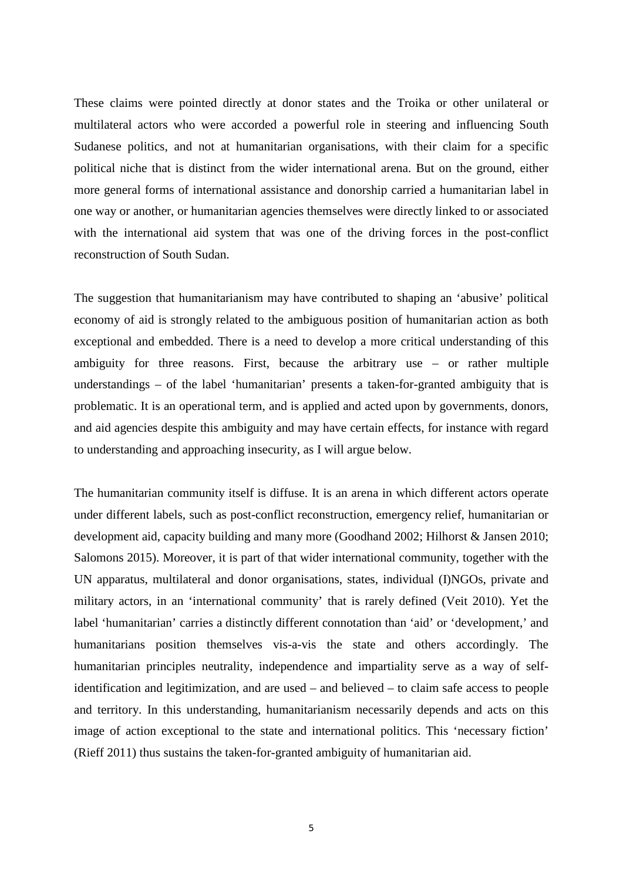These claims were pointed directly at donor states and the Troika or other unilateral or multilateral actors who were accorded a powerful role in steering and influencing South Sudanese politics, and not at humanitarian organisations, with their claim for a specific political niche that is distinct from the wider international arena. But on the ground, either more general forms of international assistance and donorship carried a humanitarian label in one way or another, or humanitarian agencies themselves were directly linked to or associated with the international aid system that was one of the driving forces in the post-conflict reconstruction of South Sudan.

The suggestion that humanitarianism may have contributed to shaping an 'abusive' political economy of aid is strongly related to the ambiguous position of humanitarian action as both exceptional and embedded. There is a need to develop a more critical understanding of this ambiguity for three reasons. First, because the arbitrary use – or rather multiple understandings – of the label 'humanitarian' presents a taken-for-granted ambiguity that is problematic. It is an operational term, and is applied and acted upon by governments, donors, and aid agencies despite this ambiguity and may have certain effects, for instance with regard to understanding and approaching insecurity, as I will argue below.

The humanitarian community itself is diffuse. It is an arena in which different actors operate under different labels, such as post-conflict reconstruction, emergency relief, humanitarian or development aid, capacity building and many more (Goodhand 2002; Hilhorst & Jansen 2010; Salomons 2015). Moreover, it is part of that wider international community, together with the UN apparatus, multilateral and donor organisations, states, individual (I)NGOs, private and military actors, in an 'international community' that is rarely defined (Veit 2010). Yet the label 'humanitarian' carries a distinctly different connotation than 'aid' or 'development,' and humanitarians position themselves vis-a-vis the state and others accordingly. The humanitarian principles neutrality, independence and impartiality serve as a way of selfidentification and legitimization, and are used – and believed – to claim safe access to people and territory. In this understanding, humanitarianism necessarily depends and acts on this image of action exceptional to the state and international politics. This 'necessary fiction' (Rieff 2011) thus sustains the taken-for-granted ambiguity of humanitarian aid.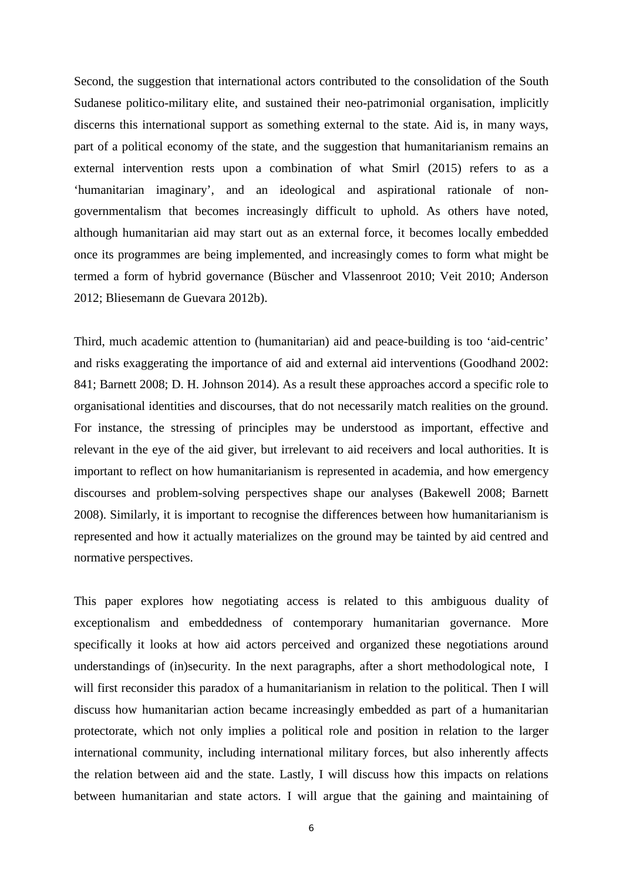Second, the suggestion that international actors contributed to the consolidation of the South Sudanese politico-military elite, and sustained their neo-patrimonial organisation, implicitly discerns this international support as something external to the state. Aid is, in many ways, part of a political economy of the state, and the suggestion that humanitarianism remains an external intervention rests upon a combination of what Smirl (2015) refers to as a 'humanitarian imaginary', and an ideological and aspirational rationale of nongovernmentalism that becomes increasingly difficult to uphold. As others have noted, although humanitarian aid may start out as an external force, it becomes locally embedded once its programmes are being implemented, and increasingly comes to form what might be termed a form of hybrid governance (Büscher and Vlassenroot 2010; Veit 2010; Anderson 2012; Bliesemann de Guevara 2012b).

Third, much academic attention to (humanitarian) aid and peace-building is too 'aid-centric' and risks exaggerating the importance of aid and external aid interventions (Goodhand 2002: 841; Barnett 2008; D. H. Johnson 2014). As a result these approaches accord a specific role to organisational identities and discourses, that do not necessarily match realities on the ground. For instance, the stressing of principles may be understood as important, effective and relevant in the eye of the aid giver, but irrelevant to aid receivers and local authorities. It is important to reflect on how humanitarianism is represented in academia, and how emergency discourses and problem-solving perspectives shape our analyses (Bakewell 2008; Barnett 2008). Similarly, it is important to recognise the differences between how humanitarianism is represented and how it actually materializes on the ground may be tainted by aid centred and normative perspectives.

This paper explores how negotiating access is related to this ambiguous duality of exceptionalism and embeddedness of contemporary humanitarian governance. More specifically it looks at how aid actors perceived and organized these negotiations around understandings of (in)security. In the next paragraphs, after a short methodological note, I will first reconsider this paradox of a humanitarianism in relation to the political. Then I will discuss how humanitarian action became increasingly embedded as part of a humanitarian protectorate, which not only implies a political role and position in relation to the larger international community, including international military forces, but also inherently affects the relation between aid and the state. Lastly, I will discuss how this impacts on relations between humanitarian and state actors. I will argue that the gaining and maintaining of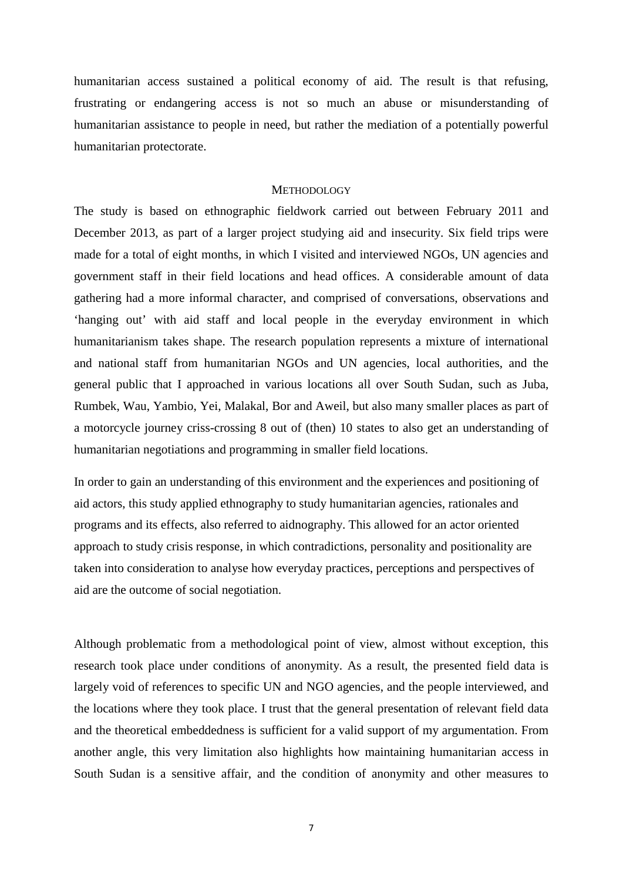humanitarian access sustained a political economy of aid. The result is that refusing, frustrating or endangering access is not so much an abuse or misunderstanding of humanitarian assistance to people in need, but rather the mediation of a potentially powerful humanitarian protectorate.

## **METHODOLOGY**

The study is based on ethnographic fieldwork carried out between February 2011 and December 2013, as part of a larger project studying aid and insecurity. Six field trips were made for a total of eight months, in which I visited and interviewed NGOs, UN agencies and government staff in their field locations and head offices. A considerable amount of data gathering had a more informal character, and comprised of conversations, observations and 'hanging out' with aid staff and local people in the everyday environment in which humanitarianism takes shape. The research population represents a mixture of international and national staff from humanitarian NGOs and UN agencies, local authorities, and the general public that I approached in various locations all over South Sudan, such as Juba, Rumbek, Wau, Yambio, Yei, Malakal, Bor and Aweil, but also many smaller places as part of a motorcycle journey criss-crossing 8 out of (then) 10 states to also get an understanding of humanitarian negotiations and programming in smaller field locations.

In order to gain an understanding of this environment and the experiences and positioning of aid actors, this study applied ethnography to study humanitarian agencies, rationales and programs and its effects, also referred to aidnography. This allowed for an actor oriented approach to study crisis response, in which contradictions, personality and positionality are taken into consideration to analyse how everyday practices, perceptions and perspectives of aid are the outcome of social negotiation.

Although problematic from a methodological point of view, almost without exception, this research took place under conditions of anonymity. As a result, the presented field data is largely void of references to specific UN and NGO agencies, and the people interviewed, and the locations where they took place. I trust that the general presentation of relevant field data and the theoretical embeddedness is sufficient for a valid support of my argumentation. From another angle, this very limitation also highlights how maintaining humanitarian access in South Sudan is a sensitive affair, and the condition of anonymity and other measures to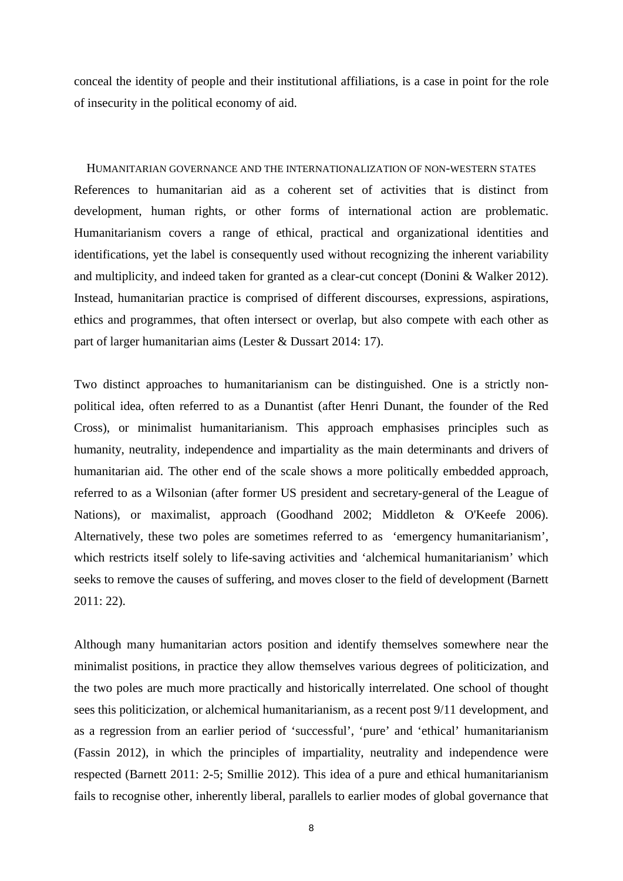conceal the identity of people and their institutional affiliations, is a case in point for the role of insecurity in the political economy of aid.

# HUMANITARIAN GOVERNANCE AND THE INTERNATIONALIZATION OF NON-WESTERN STATES

References to humanitarian aid as a coherent set of activities that is distinct from development, human rights, or other forms of international action are problematic. Humanitarianism covers a range of ethical, practical and organizational identities and identifications, yet the label is consequently used without recognizing the inherent variability and multiplicity, and indeed taken for granted as a clear-cut concept (Donini & Walker 2012). Instead, humanitarian practice is comprised of different discourses, expressions, aspirations, ethics and programmes, that often intersect or overlap, but also compete with each other as part of larger humanitarian aims (Lester & Dussart 2014: 17).

Two distinct approaches to humanitarianism can be distinguished. One is a strictly nonpolitical idea, often referred to as a Dunantist (after Henri Dunant, the founder of the Red Cross), or minimalist humanitarianism. This approach emphasises principles such as humanity, neutrality, independence and impartiality as the main determinants and drivers of humanitarian aid. The other end of the scale shows a more politically embedded approach, referred to as a Wilsonian (after former US president and secretary-general of the League of Nations), or maximalist, approach (Goodhand 2002; Middleton & O'Keefe 2006). Alternatively, these two poles are sometimes referred to as 'emergency humanitarianism', which restricts itself solely to life-saving activities and 'alchemical humanitarianism' which seeks to remove the causes of suffering, and moves closer to the field of development (Barnett 2011: 22).

Although many humanitarian actors position and identify themselves somewhere near the minimalist positions, in practice they allow themselves various degrees of politicization, and the two poles are much more practically and historically interrelated. One school of thought sees this politicization, or alchemical humanitarianism, as a recent post 9/11 development, and as a regression from an earlier period of 'successful', 'pure' and 'ethical' humanitarianism (Fassin 2012), in which the principles of impartiality, neutrality and independence were respected (Barnett 2011: 2-5; Smillie 2012). This idea of a pure and ethical humanitarianism fails to recognise other, inherently liberal, parallels to earlier modes of global governance that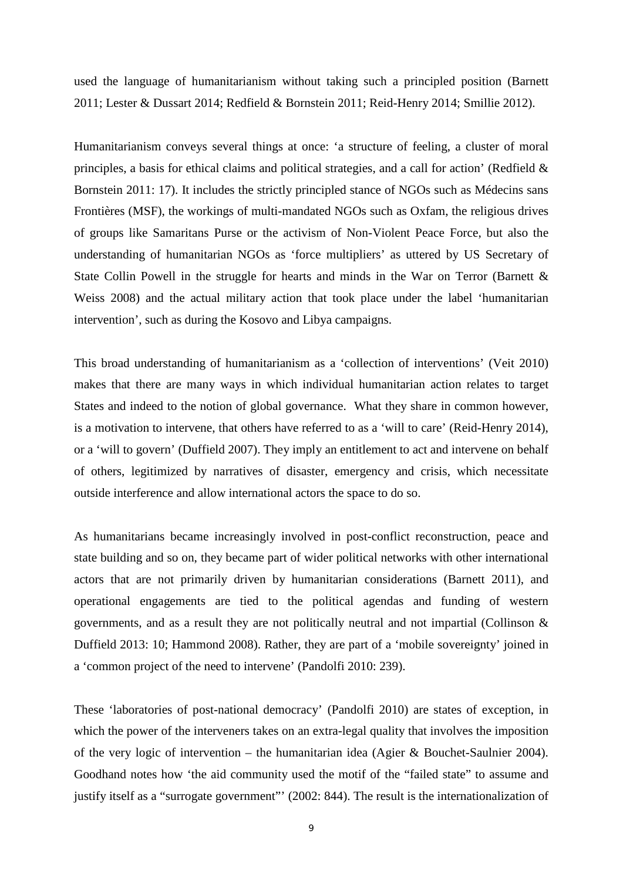used the language of humanitarianism without taking such a principled position (Barnett 2011; Lester & Dussart 2014; Redfield & Bornstein 2011; Reid-Henry 2014; Smillie 2012).

Humanitarianism conveys several things at once: 'a structure of feeling, a cluster of moral principles, a basis for ethical claims and political strategies, and a call for action' (Redfield & Bornstein 2011: 17). It includes the strictly principled stance of NGOs such as Médecins sans Frontières (MSF), the workings of multi-mandated NGOs such as Oxfam, the religious drives of groups like Samaritans Purse or the activism of Non-Violent Peace Force, but also the understanding of humanitarian NGOs as 'force multipliers' as uttered by US Secretary of State Collin Powell in the struggle for hearts and minds in the War on Terror (Barnett & Weiss 2008) and the actual military action that took place under the label 'humanitarian intervention', such as during the Kosovo and Libya campaigns.

This broad understanding of humanitarianism as a 'collection of interventions' (Veit 2010) makes that there are many ways in which individual humanitarian action relates to target States and indeed to the notion of global governance. What they share in common however, is a motivation to intervene, that others have referred to as a 'will to care' (Reid-Henry 2014), or a 'will to govern' (Duffield 2007). They imply an entitlement to act and intervene on behalf of others, legitimized by narratives of disaster, emergency and crisis, which necessitate outside interference and allow international actors the space to do so.

As humanitarians became increasingly involved in post-conflict reconstruction, peace and state building and so on, they became part of wider political networks with other international actors that are not primarily driven by humanitarian considerations (Barnett 2011), and operational engagements are tied to the political agendas and funding of western governments, and as a result they are not politically neutral and not impartial (Collinson & Duffield 2013: 10; Hammond 2008). Rather, they are part of a 'mobile sovereignty' joined in a 'common project of the need to intervene' (Pandolfi 2010: 239).

These 'laboratories of post-national democracy' (Pandolfi 2010) are states of exception, in which the power of the interveners takes on an extra-legal quality that involves the imposition of the very logic of intervention – the humanitarian idea (Agier & Bouchet-Saulnier 2004). Goodhand notes how 'the aid community used the motif of the "failed state" to assume and justify itself as a "surrogate government" (2002: 844). The result is the internationalization of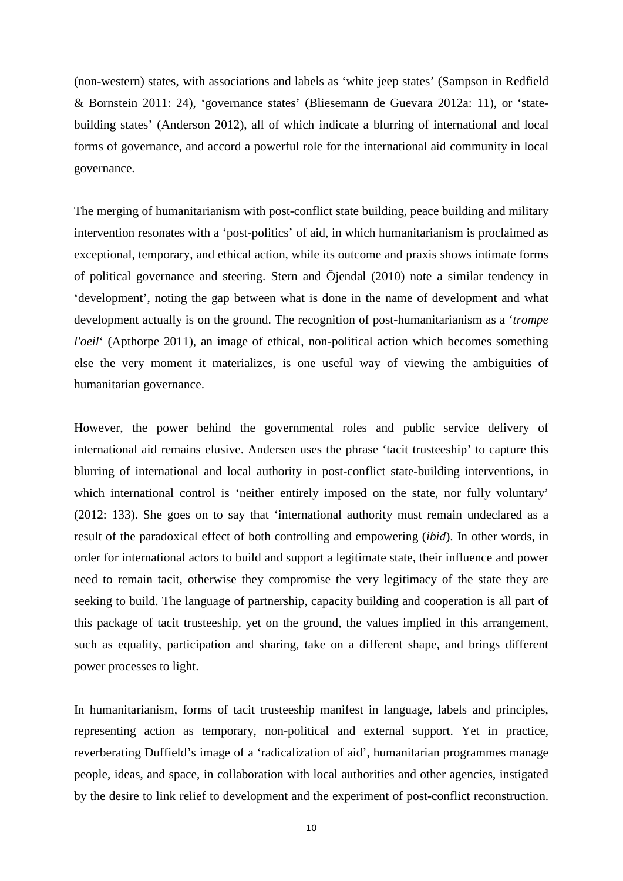(non-western) states, with associations and labels as 'white jeep states' (Sampson in Redfield & Bornstein 2011: 24), 'governance states' (Bliesemann de Guevara 2012a: 11), or 'statebuilding states' (Anderson 2012), all of which indicate a blurring of international and local forms of governance, and accord a powerful role for the international aid community in local governance.

The merging of humanitarianism with post-conflict state building, peace building and military intervention resonates with a 'post-politics' of aid, in which humanitarianism is proclaimed as exceptional, temporary, and ethical action, while its outcome and praxis shows intimate forms of political governance and steering. Stern and Öjendal (2010) note a similar tendency in 'development', noting the gap between what is done in the name of development and what development actually is on the ground. The recognition of post-humanitarianism as a '*trompe l'oeil'* (Apthorpe 2011), an image of ethical, non-political action which becomes something else the very moment it materializes, is one useful way of viewing the ambiguities of humanitarian governance.

However, the power behind the governmental roles and public service delivery of international aid remains elusive. Andersen uses the phrase 'tacit trusteeship' to capture this blurring of international and local authority in post-conflict state-building interventions, in which international control is 'neither entirely imposed on the state, nor fully voluntary' (2012: 133). She goes on to say that 'international authority must remain undeclared as a result of the paradoxical effect of both controlling and empowering (*ibid*). In other words, in order for international actors to build and support a legitimate state, their influence and power need to remain tacit, otherwise they compromise the very legitimacy of the state they are seeking to build. The language of partnership, capacity building and cooperation is all part of this package of tacit trusteeship, yet on the ground, the values implied in this arrangement, such as equality, participation and sharing, take on a different shape, and brings different power processes to light.

In humanitarianism, forms of tacit trusteeship manifest in language, labels and principles, representing action as temporary, non-political and external support. Yet in practice, reverberating Duffield's image of a 'radicalization of aid', humanitarian programmes manage people, ideas, and space, in collaboration with local authorities and other agencies, instigated by the desire to link relief to development and the experiment of post-conflict reconstruction.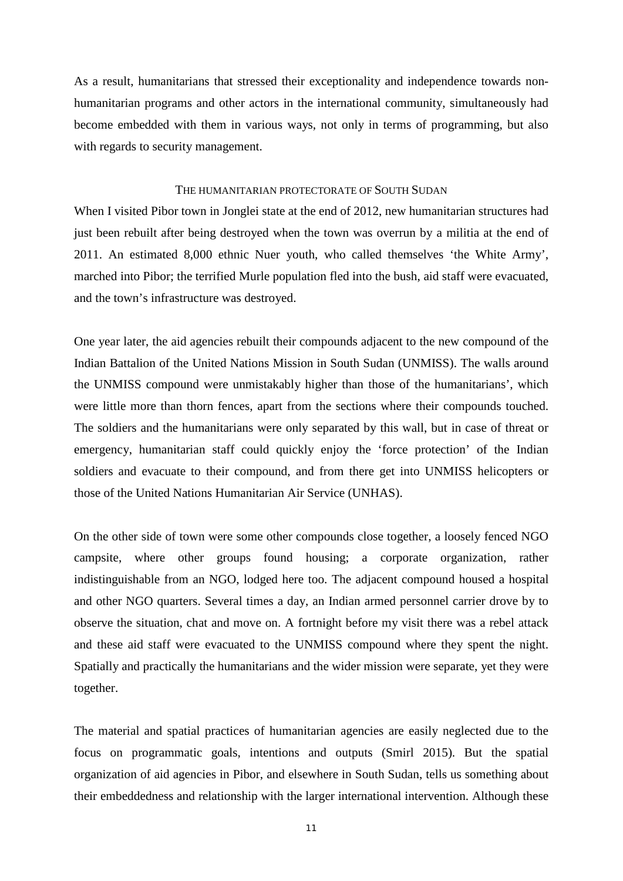As a result, humanitarians that stressed their exceptionality and independence towards nonhumanitarian programs and other actors in the international community, simultaneously had become embedded with them in various ways, not only in terms of programming, but also with regards to security management.

# THE HUMANITARIAN PROTECTORATE OF SOUTH SUDAN

When I visited Pibor town in Jonglei state at the end of 2012, new humanitarian structures had just been rebuilt after being destroyed when the town was overrun by a militia at the end of 2011. An estimated 8,000 ethnic Nuer youth, who called themselves 'the White Army', marched into Pibor; the terrified Murle population fled into the bush, aid staff were evacuated, and the town's infrastructure was destroyed.

One year later, the aid agencies rebuilt their compounds adjacent to the new compound of the Indian Battalion of the United Nations Mission in South Sudan (UNMISS). The walls around the UNMISS compound were unmistakably higher than those of the humanitarians', which were little more than thorn fences, apart from the sections where their compounds touched. The soldiers and the humanitarians were only separated by this wall, but in case of threat or emergency, humanitarian staff could quickly enjoy the 'force protection' of the Indian soldiers and evacuate to their compound, and from there get into UNMISS helicopters or those of the United Nations Humanitarian Air Service (UNHAS).

On the other side of town were some other compounds close together, a loosely fenced NGO campsite, where other groups found housing; a corporate organization, rather indistinguishable from an NGO, lodged here too. The adjacent compound housed a hospital and other NGO quarters. Several times a day, an Indian armed personnel carrier drove by to observe the situation, chat and move on. A fortnight before my visit there was a rebel attack and these aid staff were evacuated to the UNMISS compound where they spent the night. Spatially and practically the humanitarians and the wider mission were separate, yet they were together.

The material and spatial practices of humanitarian agencies are easily neglected due to the focus on programmatic goals, intentions and outputs (Smirl 2015). But the spatial organization of aid agencies in Pibor, and elsewhere in South Sudan, tells us something about their embeddedness and relationship with the larger international intervention. Although these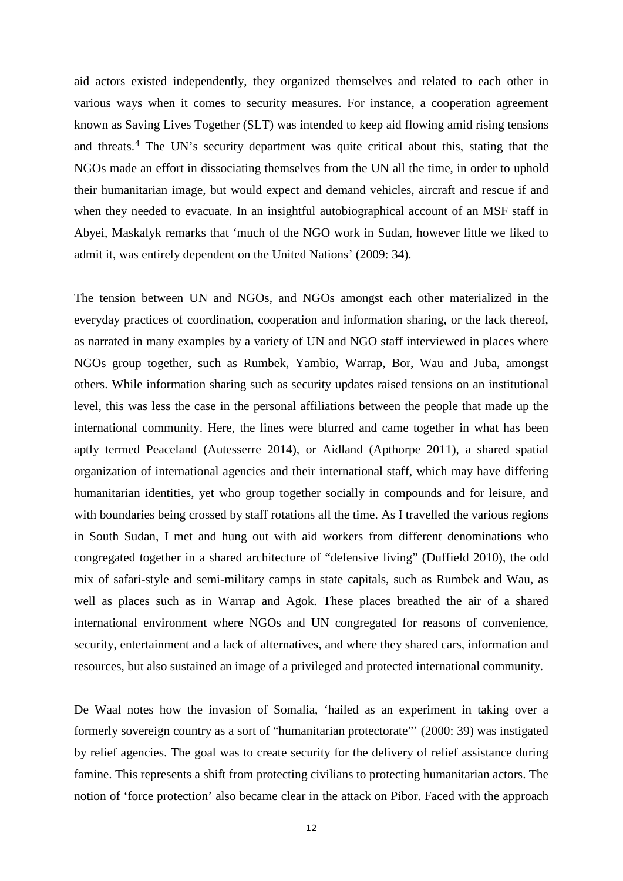aid actors existed independently, they organized themselves and related to each other in various ways when it comes to security measures. For instance, a cooperation agreement known as Saving Lives Together (SLT) was intended to keep aid flowing amid rising tensions and threats.<sup>[4](#page-24-0)</sup> The UN's security department was quite critical about this, stating that the NGOs made an effort in dissociating themselves from the UN all the time, in order to uphold their humanitarian image, but would expect and demand vehicles, aircraft and rescue if and when they needed to evacuate. In an insightful autobiographical account of an MSF staff in Abyei, Maskalyk remarks that 'much of the NGO work in Sudan, however little we liked to admit it, was entirely dependent on the United Nations' (2009: 34).

The tension between UN and NGOs, and NGOs amongst each other materialized in the everyday practices of coordination, cooperation and information sharing, or the lack thereof, as narrated in many examples by a variety of UN and NGO staff interviewed in places where NGOs group together, such as Rumbek, Yambio, Warrap, Bor, Wau and Juba, amongst others. While information sharing such as security updates raised tensions on an institutional level, this was less the case in the personal affiliations between the people that made up the international community. Here, the lines were blurred and came together in what has been aptly termed Peaceland (Autesserre 2014), or Aidland (Apthorpe 2011), a shared spatial organization of international agencies and their international staff, which may have differing humanitarian identities, yet who group together socially in compounds and for leisure, and with boundaries being crossed by staff rotations all the time. As I travelled the various regions in South Sudan, I met and hung out with aid workers from different denominations who congregated together in a shared architecture of "defensive living" (Duffield 2010), the odd mix of safari-style and semi-military camps in state capitals, such as Rumbek and Wau, as well as places such as in Warrap and Agok. These places breathed the air of a shared international environment where NGOs and UN congregated for reasons of convenience, security, entertainment and a lack of alternatives, and where they shared cars, information and resources, but also sustained an image of a privileged and protected international community.

De Waal notes how the invasion of Somalia, 'hailed as an experiment in taking over a formerly sovereign country as a sort of "humanitarian protectorate"' (2000: 39) was instigated by relief agencies. The goal was to create security for the delivery of relief assistance during famine. This represents a shift from protecting civilians to protecting humanitarian actors. The notion of 'force protection' also became clear in the attack on Pibor. Faced with the approach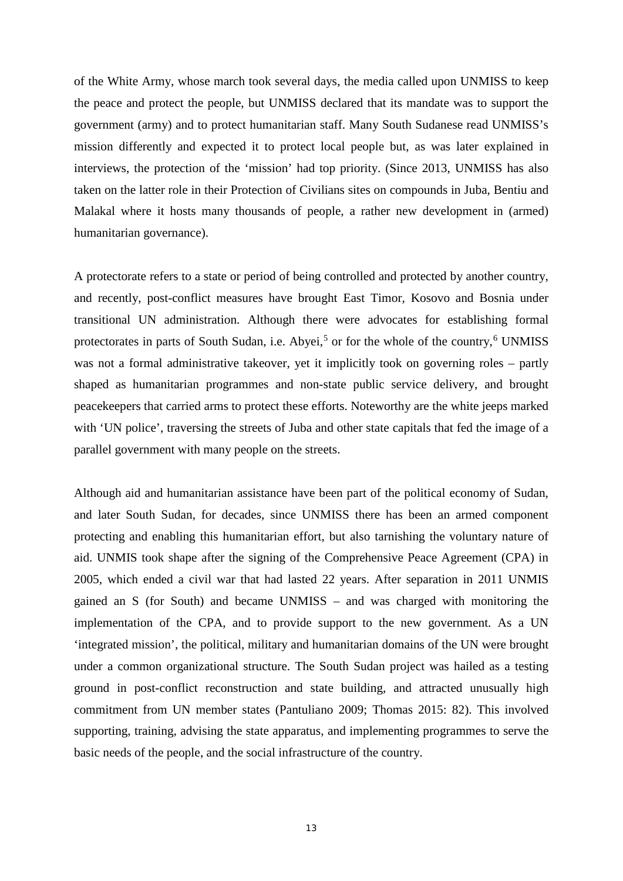of the White Army, whose march took several days, the media called upon UNMISS to keep the peace and protect the people, but UNMISS declared that its mandate was to support the government (army) and to protect humanitarian staff. Many South Sudanese read UNMISS's mission differently and expected it to protect local people but, as was later explained in interviews, the protection of the 'mission' had top priority. (Since 2013, UNMISS has also taken on the latter role in their Protection of Civilians sites on compounds in Juba, Bentiu and Malakal where it hosts many thousands of people, a rather new development in (armed) humanitarian governance).

A protectorate refers to a state or period of being controlled and protected by another country, and recently, post-conflict measures have brought East Timor, Kosovo and Bosnia under transitional UN administration. Although there were advocates for establishing formal protectorates in parts of South Sudan, i.e. Abyei,<sup>[5](#page-24-1)</sup> or for the whole of the country,<sup>[6](#page-24-2)</sup> UNMISS was not a formal administrative takeover, yet it implicitly took on governing roles – partly shaped as humanitarian programmes and non-state public service delivery, and brought peacekeepers that carried arms to protect these efforts. Noteworthy are the white jeeps marked with 'UN police', traversing the streets of Juba and other state capitals that fed the image of a parallel government with many people on the streets.

Although aid and humanitarian assistance have been part of the political economy of Sudan, and later South Sudan, for decades, since UNMISS there has been an armed component protecting and enabling this humanitarian effort, but also tarnishing the voluntary nature of aid. UNMIS took shape after the signing of the Comprehensive Peace Agreement (CPA) in 2005, which ended a civil war that had lasted 22 years. After separation in 2011 UNMIS gained an S (for South) and became UNMISS – and was charged with monitoring the implementation of the CPA, and to provide support to the new government. As a UN 'integrated mission', the political, military and humanitarian domains of the UN were brought under a common organizational structure. The South Sudan project was hailed as a testing ground in post-conflict reconstruction and state building, and attracted unusually high commitment from UN member states (Pantuliano 2009; Thomas 2015: 82). This involved supporting, training, advising the state apparatus, and implementing programmes to serve the basic needs of the people, and the social infrastructure of the country.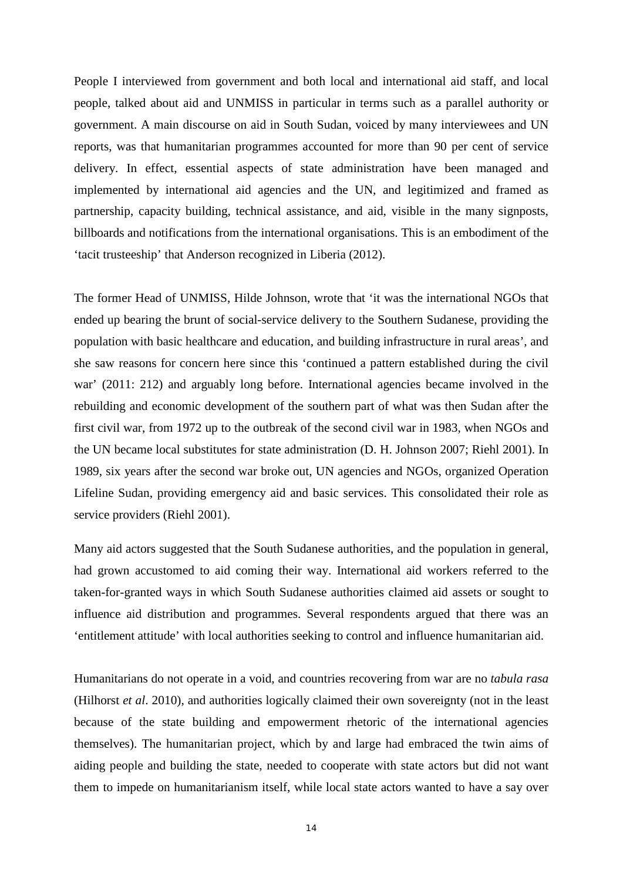People I interviewed from government and both local and international aid staff, and local people, talked about aid and UNMISS in particular in terms such as a parallel authority or government. A main discourse on aid in South Sudan, voiced by many interviewees and UN reports, was that humanitarian programmes accounted for more than 90 per cent of service delivery. In effect, essential aspects of state administration have been managed and implemented by international aid agencies and the UN, and legitimized and framed as partnership, capacity building, technical assistance, and aid, visible in the many signposts, billboards and notifications from the international organisations. This is an embodiment of the 'tacit trusteeship' that Anderson recognized in Liberia (2012).

The former Head of UNMISS, Hilde Johnson, wrote that 'it was the international NGOs that ended up bearing the brunt of social-service delivery to the Southern Sudanese, providing the population with basic healthcare and education, and building infrastructure in rural areas', and she saw reasons for concern here since this 'continued a pattern established during the civil war' (2011: 212) and arguably long before. International agencies became involved in the rebuilding and economic development of the southern part of what was then Sudan after the first civil war, from 1972 up to the outbreak of the second civil war in 1983, when NGOs and the UN became local substitutes for state administration (D. H. Johnson 2007; Riehl 2001). In 1989, six years after the second war broke out, UN agencies and NGOs, organized Operation Lifeline Sudan, providing emergency aid and basic services. This consolidated their role as service providers (Riehl 2001).

Many aid actors suggested that the South Sudanese authorities, and the population in general, had grown accustomed to aid coming their way. International aid workers referred to the taken-for-granted ways in which South Sudanese authorities claimed aid assets or sought to influence aid distribution and programmes. Several respondents argued that there was an 'entitlement attitude' with local authorities seeking to control and influence humanitarian aid.

Humanitarians do not operate in a void, and countries recovering from war are no *tabula rasa*  (Hilhorst *et al*. 2010), and authorities logically claimed their own sovereignty (not in the least because of the state building and empowerment rhetoric of the international agencies themselves). The humanitarian project, which by and large had embraced the twin aims of aiding people and building the state, needed to cooperate with state actors but did not want them to impede on humanitarianism itself, while local state actors wanted to have a say over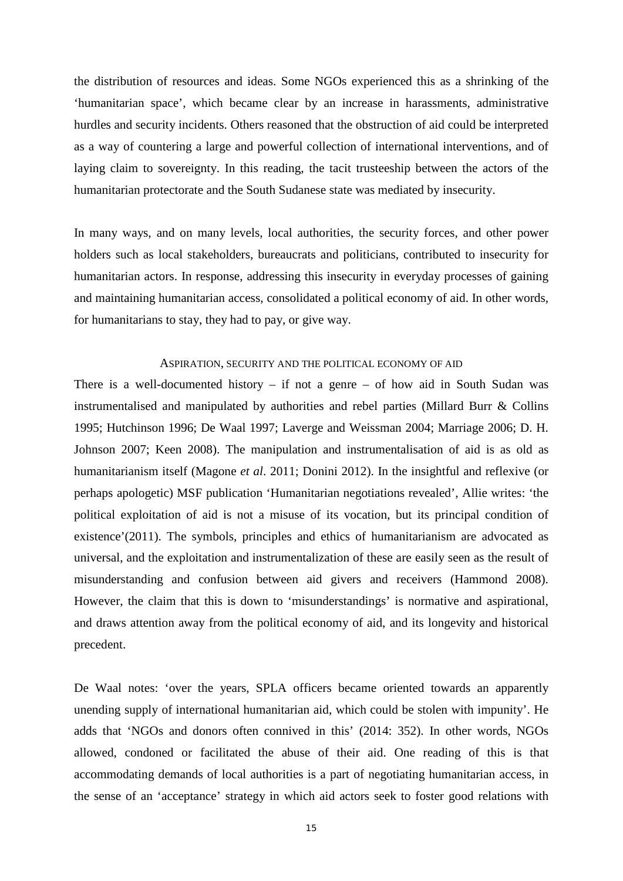the distribution of resources and ideas. Some NGOs experienced this as a shrinking of the 'humanitarian space', which became clear by an increase in harassments, administrative hurdles and security incidents. Others reasoned that the obstruction of aid could be interpreted as a way of countering a large and powerful collection of international interventions, and of laying claim to sovereignty. In this reading, the tacit trusteeship between the actors of the humanitarian protectorate and the South Sudanese state was mediated by insecurity.

In many ways, and on many levels, local authorities, the security forces, and other power holders such as local stakeholders, bureaucrats and politicians, contributed to insecurity for humanitarian actors. In response, addressing this insecurity in everyday processes of gaining and maintaining humanitarian access, consolidated a political economy of aid. In other words, for humanitarians to stay, they had to pay, or give way.

## ASPIRATION, SECURITY AND THE POLITICAL ECONOMY OF AID

There is a well-documented history – if not a genre – of how aid in South Sudan was instrumentalised and manipulated by authorities and rebel parties (Millard Burr & Collins 1995; Hutchinson 1996; De Waal 1997; Laverge and Weissman 2004; Marriage 2006; D. H. Johnson 2007; Keen 2008). The manipulation and instrumentalisation of aid is as old as humanitarianism itself (Magone *et al*. 2011; Donini 2012). In the insightful and reflexive (or perhaps apologetic) MSF publication 'Humanitarian negotiations revealed', Allie writes: 'the political exploitation of aid is not a misuse of its vocation, but its principal condition of existence'(2011). The symbols, principles and ethics of humanitarianism are advocated as universal, and the exploitation and instrumentalization of these are easily seen as the result of misunderstanding and confusion between aid givers and receivers (Hammond 2008). However, the claim that this is down to 'misunderstandings' is normative and aspirational, and draws attention away from the political economy of aid, and its longevity and historical precedent.

De Waal notes: 'over the years, SPLA officers became oriented towards an apparently unending supply of international humanitarian aid, which could be stolen with impunity'. He adds that 'NGOs and donors often connived in this' (2014: 352). In other words, NGOs allowed, condoned or facilitated the abuse of their aid. One reading of this is that accommodating demands of local authorities is a part of negotiating humanitarian access, in the sense of an 'acceptance' strategy in which aid actors seek to foster good relations with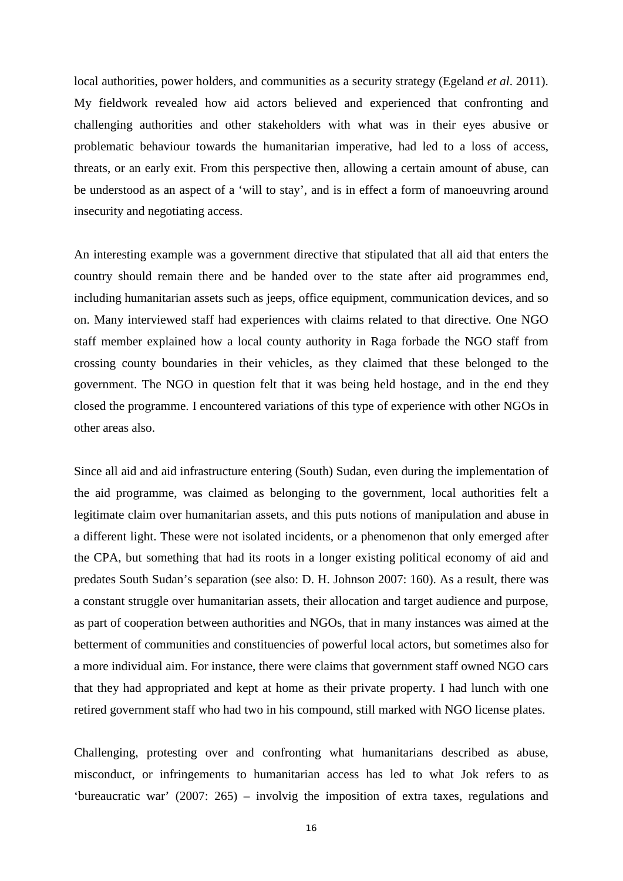local authorities, power holders, and communities as a security strategy (Egeland *et al*. 2011). My fieldwork revealed how aid actors believed and experienced that confronting and challenging authorities and other stakeholders with what was in their eyes abusive or problematic behaviour towards the humanitarian imperative, had led to a loss of access, threats, or an early exit. From this perspective then, allowing a certain amount of abuse, can be understood as an aspect of a 'will to stay', and is in effect a form of manoeuvring around insecurity and negotiating access.

An interesting example was a government directive that stipulated that all aid that enters the country should remain there and be handed over to the state after aid programmes end, including humanitarian assets such as jeeps, office equipment, communication devices, and so on. Many interviewed staff had experiences with claims related to that directive. One NGO staff member explained how a local county authority in Raga forbade the NGO staff from crossing county boundaries in their vehicles, as they claimed that these belonged to the government. The NGO in question felt that it was being held hostage, and in the end they closed the programme. I encountered variations of this type of experience with other NGOs in other areas also.

Since all aid and aid infrastructure entering (South) Sudan, even during the implementation of the aid programme, was claimed as belonging to the government, local authorities felt a legitimate claim over humanitarian assets, and this puts notions of manipulation and abuse in a different light. These were not isolated incidents, or a phenomenon that only emerged after the CPA, but something that had its roots in a longer existing political economy of aid and predates South Sudan's separation (see also: D. H. Johnson 2007: 160). As a result, there was a constant struggle over humanitarian assets, their allocation and target audience and purpose, as part of cooperation between authorities and NGOs, that in many instances was aimed at the betterment of communities and constituencies of powerful local actors, but sometimes also for a more individual aim. For instance, there were claims that government staff owned NGO cars that they had appropriated and kept at home as their private property. I had lunch with one retired government staff who had two in his compound, still marked with NGO license plates.

Challenging, protesting over and confronting what humanitarians described as abuse, misconduct, or infringements to humanitarian access has led to what Jok refers to as 'bureaucratic war' (2007: 265) – involvig the imposition of extra taxes, regulations and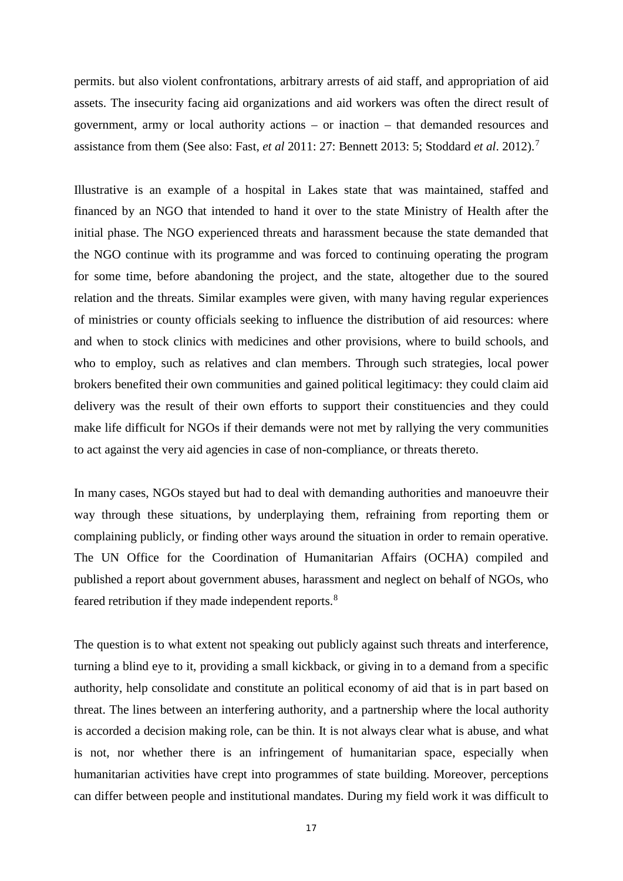permits. but also violent confrontations, arbitrary arrests of aid staff, and appropriation of aid assets. The insecurity facing aid organizations and aid workers was often the direct result of government, army or local authority actions – or inaction – that demanded resources and assistance from them (See also: Fast, *et al* 2011: 27: Bennett 2013: 5; Stoddard *et al*. 2012). [7](#page-24-3)

Illustrative is an example of a hospital in Lakes state that was maintained, staffed and financed by an NGO that intended to hand it over to the state Ministry of Health after the initial phase. The NGO experienced threats and harassment because the state demanded that the NGO continue with its programme and was forced to continuing operating the program for some time, before abandoning the project, and the state, altogether due to the soured relation and the threats. Similar examples were given, with many having regular experiences of ministries or county officials seeking to influence the distribution of aid resources: where and when to stock clinics with medicines and other provisions, where to build schools, and who to employ, such as relatives and clan members. Through such strategies, local power brokers benefited their own communities and gained political legitimacy: they could claim aid delivery was the result of their own efforts to support their constituencies and they could make life difficult for NGOs if their demands were not met by rallying the very communities to act against the very aid agencies in case of non-compliance, or threats thereto.

In many cases, NGOs stayed but had to deal with demanding authorities and manoeuvre their way through these situations, by underplaying them, refraining from reporting them or complaining publicly, or finding other ways around the situation in order to remain operative. The UN Office for the Coordination of Humanitarian Affairs (OCHA) compiled and published a report about government abuses, harassment and neglect on behalf of NGOs, who feared retribution if they made independent reports.<sup>[8](#page-24-4)</sup>

The question is to what extent not speaking out publicly against such threats and interference, turning a blind eye to it, providing a small kickback, or giving in to a demand from a specific authority, help consolidate and constitute an political economy of aid that is in part based on threat. The lines between an interfering authority, and a partnership where the local authority is accorded a decision making role, can be thin. It is not always clear what is abuse, and what is not, nor whether there is an infringement of humanitarian space, especially when humanitarian activities have crept into programmes of state building. Moreover, perceptions can differ between people and institutional mandates. During my field work it was difficult to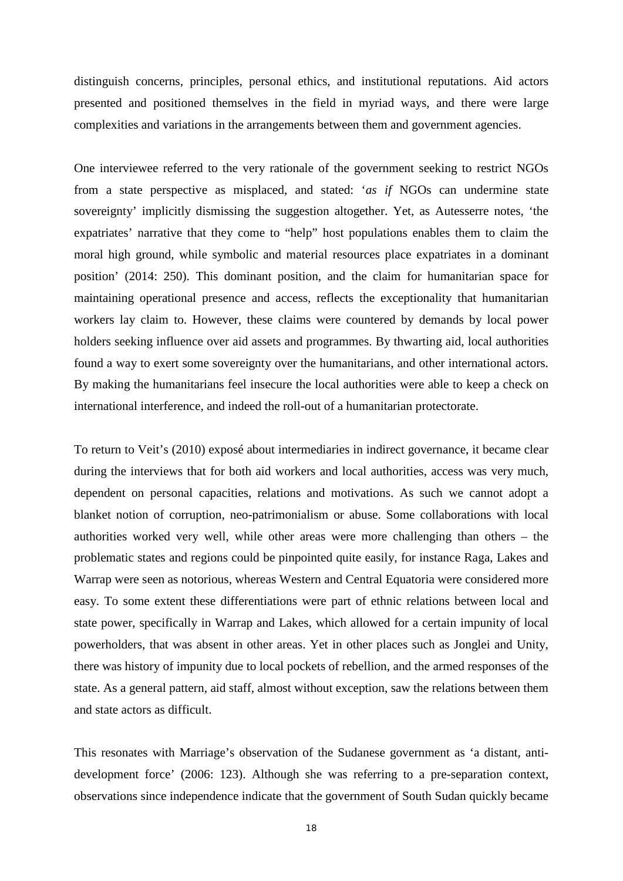distinguish concerns, principles, personal ethics, and institutional reputations. Aid actors presented and positioned themselves in the field in myriad ways, and there were large complexities and variations in the arrangements between them and government agencies.

One interviewee referred to the very rationale of the government seeking to restrict NGOs from a state perspective as misplaced, and stated: '*as if* NGOs can undermine state sovereignty' implicitly dismissing the suggestion altogether. Yet, as Autesserre notes, 'the expatriates' narrative that they come to "help" host populations enables them to claim the moral high ground, while symbolic and material resources place expatriates in a dominant position' (2014: 250). This dominant position, and the claim for humanitarian space for maintaining operational presence and access, reflects the exceptionality that humanitarian workers lay claim to. However, these claims were countered by demands by local power holders seeking influence over aid assets and programmes. By thwarting aid, local authorities found a way to exert some sovereignty over the humanitarians, and other international actors. By making the humanitarians feel insecure the local authorities were able to keep a check on international interference, and indeed the roll-out of a humanitarian protectorate.

To return to Veit's (2010) exposé about intermediaries in indirect governance, it became clear during the interviews that for both aid workers and local authorities, access was very much, dependent on personal capacities, relations and motivations. As such we cannot adopt a blanket notion of corruption, neo-patrimonialism or abuse. Some collaborations with local authorities worked very well, while other areas were more challenging than others – the problematic states and regions could be pinpointed quite easily, for instance Raga, Lakes and Warrap were seen as notorious, whereas Western and Central Equatoria were considered more easy. To some extent these differentiations were part of ethnic relations between local and state power, specifically in Warrap and Lakes, which allowed for a certain impunity of local powerholders, that was absent in other areas. Yet in other places such as Jonglei and Unity, there was history of impunity due to local pockets of rebellion, and the armed responses of the state. As a general pattern, aid staff, almost without exception, saw the relations between them and state actors as difficult.

This resonates with Marriage's observation of the Sudanese government as 'a distant, antidevelopment force' (2006: 123). Although she was referring to a pre-separation context, observations since independence indicate that the government of South Sudan quickly became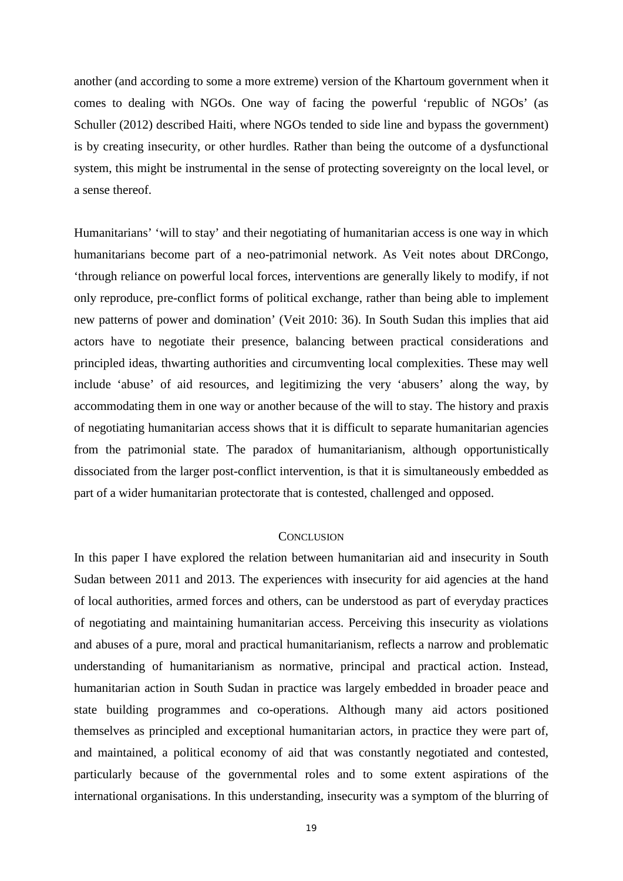another (and according to some a more extreme) version of the Khartoum government when it comes to dealing with NGOs. One way of facing the powerful 'republic of NGOs' (as Schuller (2012) described Haiti, where NGOs tended to side line and bypass the government) is by creating insecurity, or other hurdles. Rather than being the outcome of a dysfunctional system, this might be instrumental in the sense of protecting sovereignty on the local level, or a sense thereof.

Humanitarians' 'will to stay' and their negotiating of humanitarian access is one way in which humanitarians become part of a neo-patrimonial network. As Veit notes about DRCongo, 'through reliance on powerful local forces, interventions are generally likely to modify, if not only reproduce, pre-conflict forms of political exchange, rather than being able to implement new patterns of power and domination' (Veit 2010: 36). In South Sudan this implies that aid actors have to negotiate their presence, balancing between practical considerations and principled ideas, thwarting authorities and circumventing local complexities. These may well include 'abuse' of aid resources, and legitimizing the very 'abusers' along the way, by accommodating them in one way or another because of the will to stay. The history and praxis of negotiating humanitarian access shows that it is difficult to separate humanitarian agencies from the patrimonial state. The paradox of humanitarianism, although opportunistically dissociated from the larger post-conflict intervention, is that it is simultaneously embedded as part of a wider humanitarian protectorate that is contested, challenged and opposed.

## **CONCLUSION**

In this paper I have explored the relation between humanitarian aid and insecurity in South Sudan between 2011 and 2013. The experiences with insecurity for aid agencies at the hand of local authorities, armed forces and others, can be understood as part of everyday practices of negotiating and maintaining humanitarian access. Perceiving this insecurity as violations and abuses of a pure, moral and practical humanitarianism, reflects a narrow and problematic understanding of humanitarianism as normative, principal and practical action. Instead, humanitarian action in South Sudan in practice was largely embedded in broader peace and state building programmes and co-operations. Although many aid actors positioned themselves as principled and exceptional humanitarian actors, in practice they were part of, and maintained, a political economy of aid that was constantly negotiated and contested, particularly because of the governmental roles and to some extent aspirations of the international organisations. In this understanding, insecurity was a symptom of the blurring of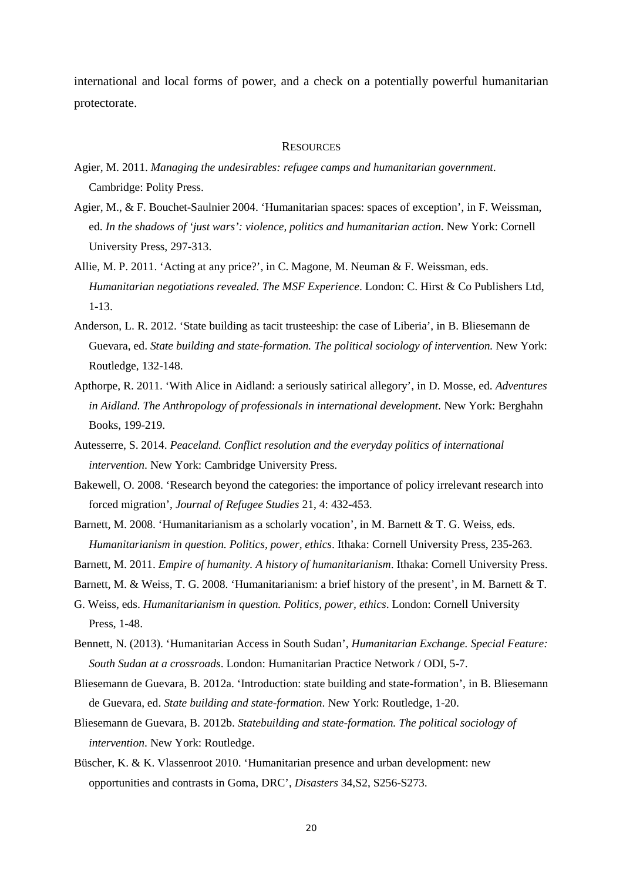international and local forms of power, and a check on a potentially powerful humanitarian protectorate.

### **RESOURCES**

- Agier, M. 2011. *Managing the undesirables: refugee camps and humanitarian government*. Cambridge: Polity Press.
- Agier, M., & F. Bouchet-Saulnier 2004. 'Humanitarian spaces: spaces of exception', in F. Weissman, ed. *In the shadows of 'just wars': violence, politics and humanitarian action*. New York: Cornell University Press, 297-313.
- Allie, M. P. 2011. 'Acting at any price?', in C. Magone, M. Neuman & F. Weissman, eds. *Humanitarian negotiations revealed. The MSF Experience*. London: C. Hirst & Co Publishers Ltd, 1-13.
- Anderson, L. R. 2012. 'State building as tacit trusteeship: the case of Liberia', in B. Bliesemann de Guevara, ed. *State building and state-formation. The political sociology of intervention.* New York: Routledge, 132-148.
- Apthorpe, R. 2011. 'With Alice in Aidland: a seriously satirical allegory', in D. Mosse, ed. *Adventures in Aidland*. *The Anthropology of professionals in international development.* New York: Berghahn Books, 199-219.
- Autesserre, S. 2014. *Peaceland. Conflict resolution and the everyday politics of international intervention*. New York: Cambridge University Press.
- Bakewell, O. 2008. 'Research beyond the categories: the importance of policy irrelevant research into forced migration', *Journal of Refugee Studies* 21, 4: 432-453.
- Barnett, M. 2008. 'Humanitarianism as a scholarly vocation', in M. Barnett & T. G. Weiss, eds. *Humanitarianism in question. Politics, power, ethics*. Ithaka: Cornell University Press, 235-263.
- Barnett, M. 2011. *Empire of humanity. A history of humanitarianism*. Ithaka: Cornell University Press.
- Barnett, M. & Weiss, T. G. 2008. 'Humanitarianism: a brief history of the present', in M. Barnett & T.
- G. Weiss, eds. *Humanitarianism in question. Politics, power, ethics*. London: Cornell University Press, 1-48.
- Bennett, N. (2013). 'Humanitarian Access in South Sudan', *Humanitarian Exchange. Special Feature: South Sudan at a crossroads*. London: Humanitarian Practice Network / ODI, 5-7.
- Bliesemann de Guevara, B. 2012a. 'Introduction: state building and state-formation', in B. Bliesemann de Guevara, ed. *State building and state-formation*. New York: Routledge, 1-20.
- Bliesemann de Guevara, B. 2012b. *Statebuilding and state-formation. The political sociology of intervention*. New York: Routledge.
- Büscher, K. & K. Vlassenroot 2010. 'Humanitarian presence and urban development: new opportunities and contrasts in Goma, DRC', *Disasters* 34,S2, S256-S273.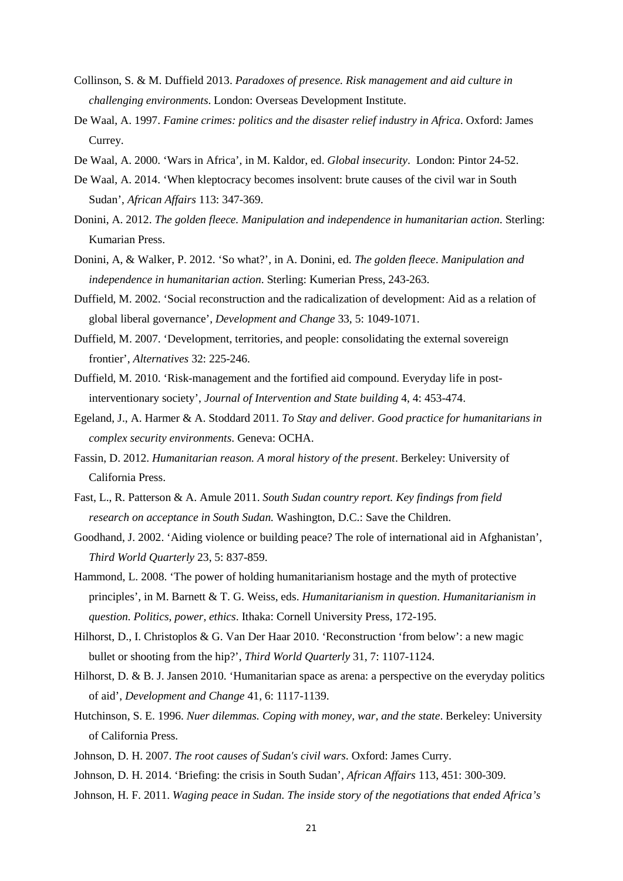- Collinson, S. & M. Duffield 2013. *Paradoxes of presence. Risk management and aid culture in challenging environments*. London: Overseas Development Institute.
- De Waal, A. 1997. *Famine crimes: politics and the disaster relief industry in Africa*. Oxford: James Currey.
- De Waal, A. 2000. 'Wars in Africa', in M. Kaldor, ed. *Global insecurity*. London: Pintor 24-52.
- De Waal, A. 2014. 'When kleptocracy becomes insolvent: brute causes of the civil war in South Sudan', *African Affairs* 113: 347-369.
- Donini, A. 2012. *The golden fleece. Manipulation and independence in humanitarian action*. Sterling: Kumarian Press.
- Donini, A, & Walker, P. 2012. 'So what?', in A. Donini, ed. *The golden fleece*. *Manipulation and independence in humanitarian action*. Sterling: Kumerian Press, 243-263.
- Duffield, M. 2002. 'Social reconstruction and the radicalization of development: Aid as a relation of global liberal governance', *Development and Change* 33, 5: 1049-1071.
- Duffield, M. 2007. 'Development, territories, and people: consolidating the external sovereign frontier', *Alternatives* 32: 225-246.
- Duffield, M. 2010. 'Risk-management and the fortified aid compound. Everyday life in postinterventionary society', *Journal of Intervention and State building* 4, 4: 453-474.
- Egeland, J., A. Harmer & A. Stoddard 2011. *To Stay and deliver. Good practice for humanitarians in complex security environments*. Geneva: OCHA.
- Fassin, D. 2012. *Humanitarian reason. A moral history of the present*. Berkeley: University of California Press.
- Fast, L., R. Patterson & A. Amule 2011. *South Sudan country report. Key findings from field research on acceptance in South Sudan.* Washington, D.C.: Save the Children.
- Goodhand, J. 2002. 'Aiding violence or building peace? The role of international aid in Afghanistan', *Third World Quarterly* 23, 5: 837-859.
- Hammond, L. 2008. 'The power of holding humanitarianism hostage and the myth of protective principles', in M. Barnett & T. G. Weiss, eds. *Humanitarianism in question*. *Humanitarianism in question. Politics, power, ethics*. Ithaka: Cornell University Press, 172-195.
- Hilhorst, D., I. Christoplos & G. Van Der Haar 2010. 'Reconstruction 'from below': a new magic bullet or shooting from the hip?', *Third World Quarterly* 31, 7: 1107-1124.
- Hilhorst, D. & B. J. Jansen 2010. 'Humanitarian space as arena: a perspective on the everyday politics of aid', *Development and Change* 41, 6: 1117-1139.
- Hutchinson, S. E. 1996. *Nuer dilemmas. Coping with money, war, and the state*. Berkeley: University of California Press.
- Johnson, D. H. 2007. *The root causes of Sudan's civil wars*. Oxford: James Curry.
- Johnson, D. H. 2014. 'Briefing: the crisis in South Sudan', *African Affairs* 113, 451: 300-309.
- Johnson, H. F. 2011. *Waging peace in Sudan. The inside story of the negotiations that ended Africa's*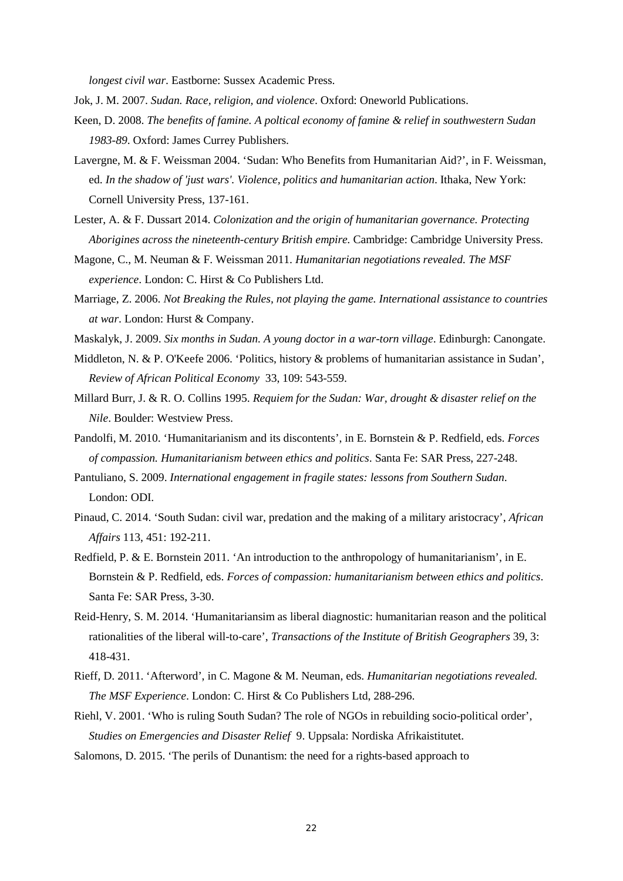*longest civil war*. Eastborne: Sussex Academic Press.

- Jok, J. M. 2007. *Sudan. Race, religion, and violence*. Oxford: Oneworld Publications.
- Keen, D. 2008. *The benefits of famine. A poltical economy of famine & relief in southwestern Sudan 1983-89*. Oxford: James Currey Publishers.
- Lavergne, M. & F. Weissman 2004. 'Sudan: Who Benefits from Humanitarian Aid?', in F. Weissman, ed. *In the shadow of 'just wars'. Violence, politics and humanitarian action*. Ithaka, New York: Cornell University Press, 137-161.
- Lester, A. & F. Dussart 2014. *Colonization and the origin of humanitarian governance. Protecting Aborigines across the nineteenth-century British empire.* Cambridge: Cambridge University Press.
- Magone, C., M. Neuman & F. Weissman 2011. *Humanitarian negotiations revealed. The MSF experience*. London: C. Hirst & Co Publishers Ltd.
- Marriage, Z. 2006. *Not Breaking the Rules, not playing the game. International assistance to countries at war*. London: Hurst & Company.
- Maskalyk, J. 2009. *Six months in Sudan. A young doctor in a war-torn village*. Edinburgh: Canongate.
- Middleton, N. & P. O'Keefe 2006. 'Politics, history & problems of humanitarian assistance in Sudan', *Review of African Political Economy* 33, 109: 543-559.
- Millard Burr, J. & R. O. Collins 1995. *Requiem for the Sudan: War, drought & disaster relief on the Nile*. Boulder: Westview Press.
- Pandolfi, M. 2010. 'Humanitarianism and its discontents', in E. Bornstein & P. Redfield, eds. *Forces of compassion. Humanitarianism between ethics and politics*. Santa Fe: SAR Press, 227-248.
- Pantuliano, S. 2009. *International engagement in fragile states: lessons from Southern Sudan*. London: ODI.
- Pinaud, C. 2014. 'South Sudan: civil war, predation and the making of a military aristocracy', *African Affairs* 113, 451: 192-211.
- Redfield, P. & E. Bornstein 2011. 'An introduction to the anthropology of humanitarianism', in E. Bornstein & P. Redfield, eds. *Forces of compassion: humanitarianism between ethics and politics*. Santa Fe: SAR Press, 3-30.
- Reid-Henry, S. M. 2014. 'Humanitariansim as liberal diagnostic: humanitarian reason and the political rationalities of the liberal will-to-care', *Transactions of the Institute of British Geographers* 39, 3: 418-431.
- Rieff, D. 2011. 'Afterword', in C. Magone & M. Neuman, eds. *Humanitarian negotiations revealed. The MSF Experience*. London: C. Hirst & Co Publishers Ltd, 288-296.
- Riehl, V. 2001. 'Who is ruling South Sudan? The role of NGOs in rebuilding socio-political order', *Studies on Emergencies and Disaster Relief* 9. Uppsala: Nordiska Afrikaistitutet.
- Salomons, D. 2015. 'The perils of Dunantism: the need for a rights-based approach to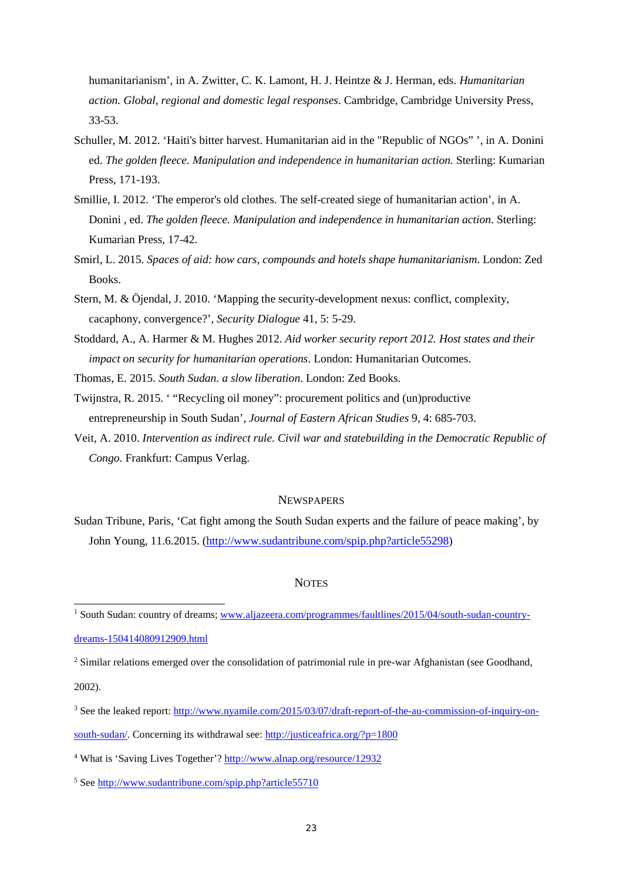humanitarianism', in A. Zwitter, C. K. Lamont, H. J. Heintze & J. Herman, eds. *Humanitarian action. Global, regional and domestic legal responses*. Cambridge, Cambridge University Press, 33-53.

- Schuller, M. 2012. 'Haiti's bitter harvest. Humanitarian aid in the "Republic of NGOs" ', in A. Donini ed. *The golden fleece. Manipulation and independence in humanitarian action.* Sterling: Kumarian Press, 171-193.
- Smillie, I. 2012. 'The emperor's old clothes. The self-created siege of humanitarian action', in A. Donini , ed. *The golden fleece. Manipulation and independence in humanitarian action*. Sterling: Kumarian Press, 17-42.
- Smirl, L. 2015. *Spaces of aid: how cars, compounds and hotels shape humanitarianism*. London: Zed Books.
- Stern, M. & Öjendal, J. 2010. 'Mapping the security-development nexus: conflict, complexity, cacaphony, convergence?', *Security Dialogue* 41, 5: 5-29.
- Stoddard, A., A. Harmer & M. Hughes 2012. *Aid worker security report 2012. Host states and their impact on security for humanitarian operations*. London: Humanitarian Outcomes.
- Thomas, E. 2015. *South Sudan. a slow liberation*. London: Zed Books.
- Twijnstra, R. 2015. ' "Recycling oil money": procurement politics and (un)productive entrepreneurship in South Sudan', *Journal of Eastern African Studies* 9, 4: 685-703.
- Veit, A. 2010. *Intervention as indirect rule. Civil war and statebuilding in the Democratic Republic of Congo*. Frankfurt: Campus Verlag.

## **NEWSPAPERS**

Sudan Tribune, Paris, 'Cat fight among the South Sudan experts and the failure of peace making', by John Young, 11.6.2015. [\(http://www.sudantribune.com/spip.php?article55298\)](http://www.sudantribune.com/spip.php?article55298)

## **NOTES**

<span id="page-23-1"></span><sup>2</sup> Similar relations emerged over the consolidation of patrimonial rule in pre-war Afghanistan (see Goodhand,

2002).

1

<span id="page-23-2"></span><sup>3</sup> See the leaked report: [http://www.nyamile.com/2015/03/07/draft-report-of-the-au-commission-of-inquiry-on-](http://www.nyamile.com/2015/03/07/draft-report-of-the-au-commission-of-inquiry-on-south-sudan/)

[south-sudan/.](http://www.nyamile.com/2015/03/07/draft-report-of-the-au-commission-of-inquiry-on-south-sudan/) Concerning its withdrawal see: http://justiceafrica.org/?p=1800

<span id="page-23-0"></span><sup>1</sup> South Sudan: country of dreams[; www.aljazeera.com/programmes/faultlines/2015/04/south-sudan-country](http://www.aljazeera.com/programmes/faultlines/2015/04/south-sudan-country-dreams-150414080912909.html)[dreams-150414080912909.html](http://www.aljazeera.com/programmes/faultlines/2015/04/south-sudan-country-dreams-150414080912909.html)

<sup>4</sup> What is 'Saving Lives Together'[? http://www.alnap.org/resource/12932](http://www.alnap.org/resource/12932)

<sup>5</sup> See<http://www.sudantribune.com/spip.php?article55710>